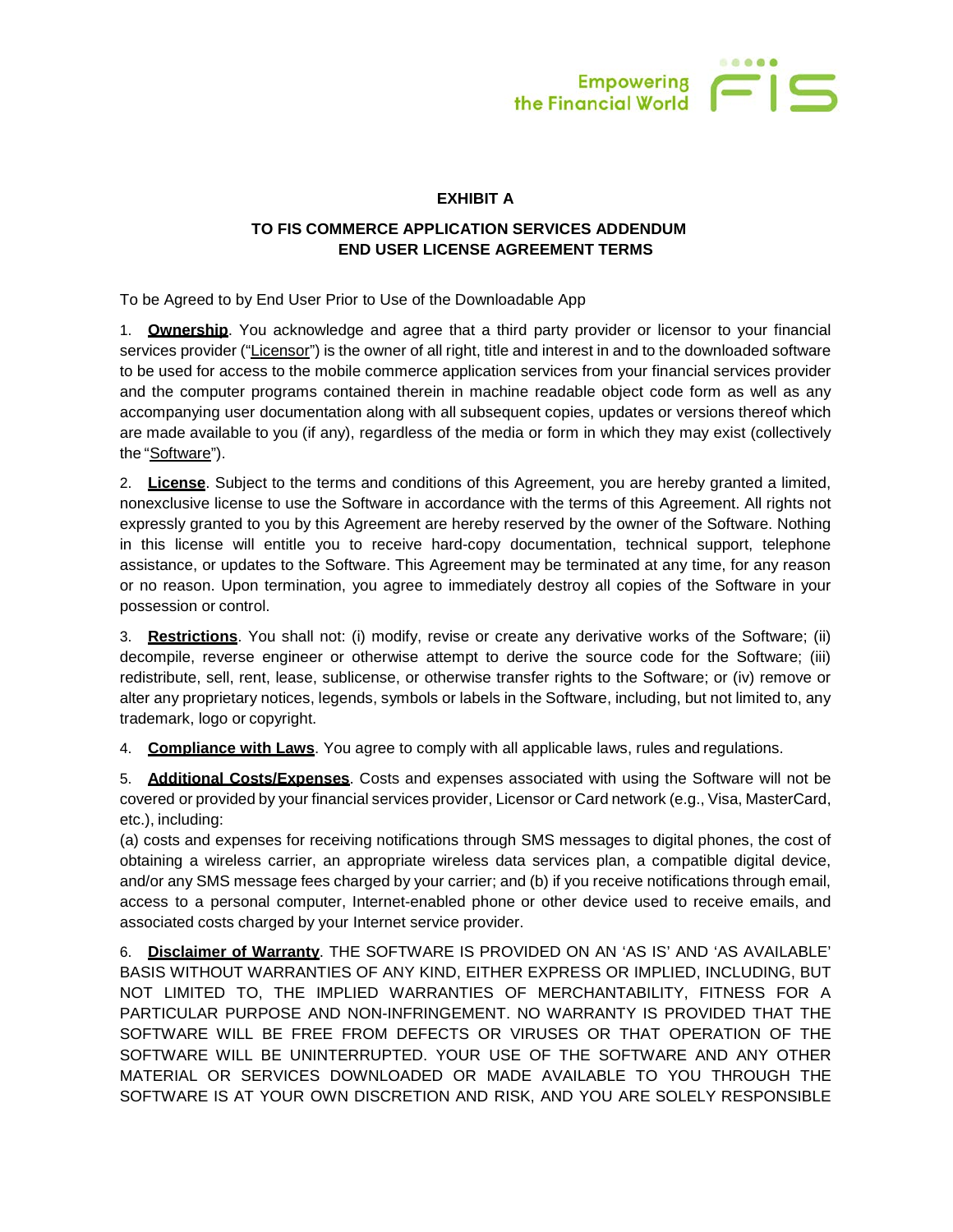

## **EXHIBIT A**

## **TO FIS COMMERCE APPLICATION SERVICES ADDENDUM END USER LICENSE AGREEMENT TERMS**

To be Agreed to by End User Prior to Use of the Downloadable App

1. **Ownership**. You acknowledge and agree that a third party provider or licensor to your financial services provider ("Licensor") is the owner of all right, title and interest in and to the downloaded software to be used for access to the mobile commerce application services from your financial services provider and the computer programs contained therein in machine readable object code form as well as any accompanying user documentation along with all subsequent copies, updates or versions thereof which are made available to you (if any), regardless of the media or form in which they may exist (collectively the "Software").

2. **License**. Subject to the terms and conditions of this Agreement, you are hereby granted a limited, nonexclusive license to use the Software in accordance with the terms of this Agreement. All rights not expressly granted to you by this Agreement are hereby reserved by the owner of the Software. Nothing in this license will entitle you to receive hard-copy documentation, technical support, telephone assistance, or updates to the Software. This Agreement may be terminated at any time, for any reason or no reason. Upon termination, you agree to immediately destroy all copies of the Software in your possession or control.

3. **Restrictions**. You shall not: (i) modify, revise or create any derivative works of the Software; (ii) decompile, reverse engineer or otherwise attempt to derive the source code for the Software; (iii) redistribute, sell, rent, lease, sublicense, or otherwise transfer rights to the Software; or (iv) remove or alter any proprietary notices, legends, symbols or labels in the Software, including, but not limited to, any trademark, logo or copyright.

4. **Compliance with Laws**. You agree to comply with all applicable laws, rules and regulations.

5. **Additional Costs/Expenses**. Costs and expenses associated with using the Software will not be covered or provided by your financial services provider, Licensor or Card network (e.g., Visa, MasterCard, etc.), including:

(a) costs and expenses for receiving notifications through SMS messages to digital phones, the cost of obtaining a wireless carrier, an appropriate wireless data services plan, a compatible digital device, and/or any SMS message fees charged by your carrier; and (b) if you receive notifications through email, access to a personal computer, Internet-enabled phone or other device used to receive emails, and associated costs charged by your Internet service provider.

6. **Disclaimer of Warranty**. THE SOFTWARE IS PROVIDED ON AN 'AS IS' AND 'AS AVAILABLE' BASIS WITHOUT WARRANTIES OF ANY KIND, EITHER EXPRESS OR IMPLIED, INCLUDING, BUT NOT LIMITED TO, THE IMPLIED WARRANTIES OF MERCHANTABILITY, FITNESS FOR A PARTICULAR PURPOSE AND NON-INFRINGEMENT. NO WARRANTY IS PROVIDED THAT THE SOFTWARE WILL BE FREE FROM DEFECTS OR VIRUSES OR THAT OPERATION OF THE SOFTWARE WILL BE UNINTERRUPTED. YOUR USE OF THE SOFTWARE AND ANY OTHER MATERIAL OR SERVICES DOWNLOADED OR MADE AVAILABLE TO YOU THROUGH THE SOFTWARE IS AT YOUR OWN DISCRETION AND RISK, AND YOU ARE SOLELY RESPONSIBLE